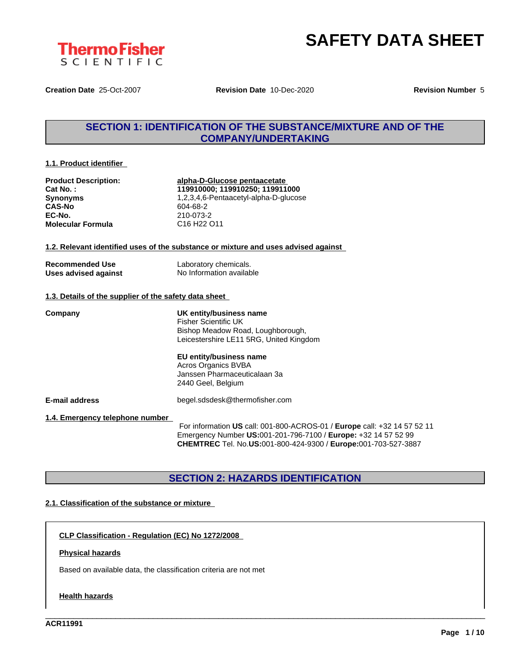



**Creation Date** 25-Oct-2007 **Revision Date** 10-Dec-2020 **Revision Number** 5

# **SECTION 1: IDENTIFICATION OF THE SUBSTANCE/MIXTURE AND OF THE COMPANY/UNDERTAKING**

#### **1.1. Product identifier**

| <b>Product Description:</b> |
|-----------------------------|
| Cat No.:                    |
| <b>Synonyms</b>             |
| <b>CAS-No</b>               |
| EC-No.                      |
| <b>Molecular Formula</b>    |

**Product Description: alpha-D-Glucose pentaacetate Cat No. : 119910000; 119910250; 119911000 Synonyms** 1,2,3,4,6-Pentaacetyl-alpha-D-glucose **CAS-No** 604-68-2 **EC-No.** 210-073-2 **Molecular Formula** C16 H22 O11

#### **1.2. Relevant identified uses of the substance or mixture and uses advised against**

| <b>Recommended Use</b> |  |
|------------------------|--|
| Uses advised against   |  |

Laboratory chemicals. **No Information available** 

#### **1.3. Details of the supplier of the safety data sheet**

**Company UK entity/business name** Fisher Scientific UK Bishop Meadow Road, Loughborough, Leicestershire LE11 5RG, United Kingdom

## **EU entity/business name** Acros Organics BVBA

Janssen Pharmaceuticalaan 3a 2440 Geel, Belgium

**E-mail address** begel.sdsdesk@thermofisher.com

**1.4. Emergency telephone number**

For information **US** call: 001-800-ACROS-01 / **Europe** call: +32 14 57 52 11 Emergency Number **US:**001-201-796-7100 / **Europe:** +32 14 57 52 99 **CHEMTREC** Tel. No.**US:**001-800-424-9300 / **Europe:**001-703-527-3887

\_\_\_\_\_\_\_\_\_\_\_\_\_\_\_\_\_\_\_\_\_\_\_\_\_\_\_\_\_\_\_\_\_\_\_\_\_\_\_\_\_\_\_\_\_\_\_\_\_\_\_\_\_\_\_\_\_\_\_\_\_\_\_\_\_\_\_\_\_\_\_\_\_\_\_\_\_\_\_\_\_\_\_\_\_\_\_\_\_\_\_\_\_\_

# **SECTION 2: HAZARDS IDENTIFICATION**

### **2.1. Classification of the substance or mixture**

**CLP Classification - Regulation (EC) No 1272/2008**

#### **Physical hazards**

Based on available data, the classification criteria are not met

#### **Health hazards**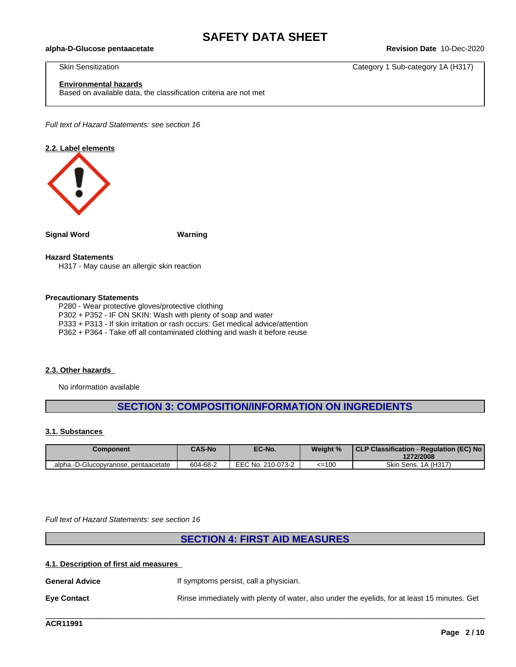$\_$  ,  $\_$  ,  $\_$  ,  $\_$  ,  $\_$  ,  $\_$  ,  $\_$  ,  $\_$  ,  $\_$  ,  $\_$  ,  $\_$  ,  $\_$  ,  $\_$  ,  $\_$  ,  $\_$  ,  $\_$  ,  $\_$  ,  $\_$  ,  $\_$  ,  $\_$  ,  $\_$  ,  $\_$  ,  $\_$  ,  $\_$  ,  $\_$  ,  $\_$  ,  $\_$  ,  $\_$  ,  $\_$  ,  $\_$  ,  $\_$  ,  $\_$  ,  $\_$  ,  $\_$  ,  $\_$  ,  $\_$  ,  $\_$  ,

#### **alpha-D-Glucose pentaacetate Revision Date** 10-Dec-2020

Skin Sensitization **Category 1 Sub-category 14 (H317)** Category 1 Sub-category 1A (H317)

#### **Environmental hazards**

Based on available data, the classification criteria are not met

*Full text of Hazard Statements: see section 16*

#### **2.2. Label elements**



**Signal Word Warning**

#### **Hazard Statements**

H317 - May cause an allergic skin reaction

#### **Precautionary Statements**

P280 - Wear protective gloves/protective clothing

P302 + P352 - IF ON SKIN: Wash with plenty of soap and water

P333 + P313 - If skin irritation or rash occurs: Get medical advice/attention

P362 + P364 - Take off all contaminated clothing and wash it before reuse

#### **2.3. Other hazards**

No information available

# **SECTION 3: COMPOSITION/INFORMATION ON INGREDIENTS**

#### **3.1. Substances**

| Component                             | <b>CAS-No</b> | EC-No.            | Weight % | CLP Classification - Regulation (EC) No<br>1272/2008 |
|---------------------------------------|---------------|-------------------|----------|------------------------------------------------------|
| .alpha.-D-Glucopyranose, pentaacetate | 604-68-2      | EEC No. 210-073-2 | $=100$   | Skin Sens. 1A (H317)                                 |

*Full text of Hazard Statements: see section 16*

# **SECTION 4: FIRST AID MEASURES**

#### **4.1. Description of first aid measures**

**General Advice If symptoms persist, call a physician. Eye Contact** Rinse immediately with plenty of water, also under the eyelids, for at least 15 minutes. Get

\_\_\_\_\_\_\_\_\_\_\_\_\_\_\_\_\_\_\_\_\_\_\_\_\_\_\_\_\_\_\_\_\_\_\_\_\_\_\_\_\_\_\_\_\_\_\_\_\_\_\_\_\_\_\_\_\_\_\_\_\_\_\_\_\_\_\_\_\_\_\_\_\_\_\_\_\_\_\_\_\_\_\_\_\_\_\_\_\_\_\_\_\_\_

**ACR11991**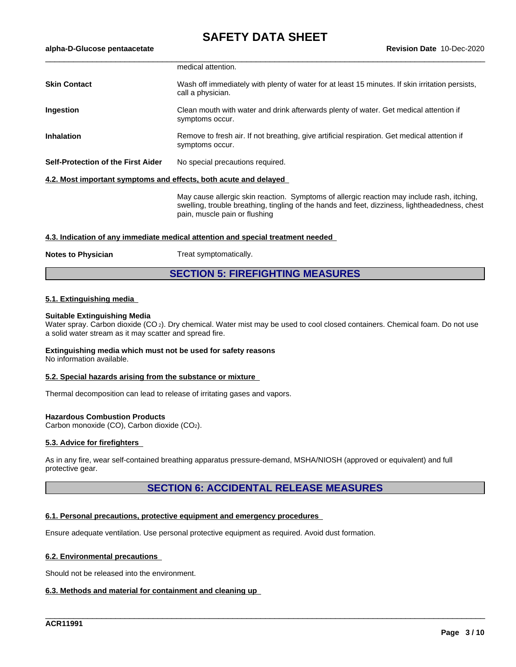|                                                                  | medical attention.                                                                                                                                                                                                            |
|------------------------------------------------------------------|-------------------------------------------------------------------------------------------------------------------------------------------------------------------------------------------------------------------------------|
| <b>Skin Contact</b>                                              | Wash off immediately with plenty of water for at least 15 minutes. If skin irritation persists,<br>call a physician.                                                                                                          |
| Ingestion                                                        | Clean mouth with water and drink afterwards plenty of water. Get medical attention if<br>symptoms occur.                                                                                                                      |
| <b>Inhalation</b>                                                | Remove to fresh air. If not breathing, give artificial respiration. Get medical attention if<br>symptoms occur.                                                                                                               |
| Self-Protection of the First Aider                               | No special precautions required.                                                                                                                                                                                              |
| 4.2. Most important symptoms and effects, both acute and delayed |                                                                                                                                                                                                                               |
|                                                                  | May cause allergic skin reaction. Symptoms of allergic reaction may include rash, itching,<br>swelling, trouble breathing, tingling of the hands and feet, dizziness, lightheadedness, chest<br>pain, muscle pain or flushing |

#### **4.3. Indication of any immediate medical attention and special treatment needed**

#### **Notes to Physician** Treat symptomatically.

**SECTION 5: FIREFIGHTING MEASURES**

#### **5.1. Extinguishing media**

#### **Suitable Extinguishing Media**

Water spray. Carbon dioxide (CO<sub>2</sub>). Dry chemical. Water mist may be used to cool closed containers. Chemical foam. Do not use a solid water stream as it may scatter and spread fire.

### **Extinguishing media which must not be used for safety reasons**

No information available.

#### **5.2. Special hazards arising from the substance or mixture**

Thermal decomposition can lead to release of irritating gases and vapors.

#### **Hazardous Combustion Products**

Carbon monoxide (CO), Carbon dioxide (CO2).

#### **5.3. Advice for firefighters**

As in any fire, wear self-contained breathing apparatus pressure-demand, MSHA/NIOSH (approved or equivalent) and full protective gear.

# **SECTION 6: ACCIDENTAL RELEASE MEASURES**

\_\_\_\_\_\_\_\_\_\_\_\_\_\_\_\_\_\_\_\_\_\_\_\_\_\_\_\_\_\_\_\_\_\_\_\_\_\_\_\_\_\_\_\_\_\_\_\_\_\_\_\_\_\_\_\_\_\_\_\_\_\_\_\_\_\_\_\_\_\_\_\_\_\_\_\_\_\_\_\_\_\_\_\_\_\_\_\_\_\_\_\_\_\_

#### **6.1. Personal precautions, protective equipment and emergency procedures**

Ensure adequate ventilation. Use personal protective equipment as required. Avoid dust formation.

#### **6.2. Environmental precautions**

Should not be released into the environment.

#### **6.3. Methods and material for containment and cleaning up**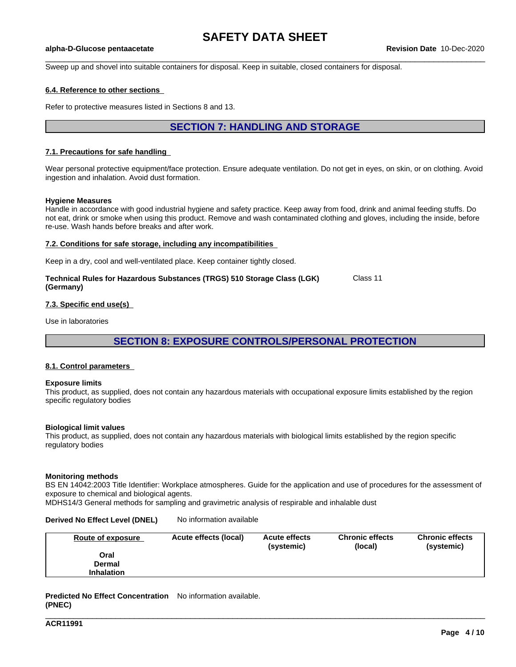$\_$  ,  $\_$  ,  $\_$  ,  $\_$  ,  $\_$  ,  $\_$  ,  $\_$  ,  $\_$  ,  $\_$  ,  $\_$  ,  $\_$  ,  $\_$  ,  $\_$  ,  $\_$  ,  $\_$  ,  $\_$  ,  $\_$  ,  $\_$  ,  $\_$  ,  $\_$  ,  $\_$  ,  $\_$  ,  $\_$  ,  $\_$  ,  $\_$  ,  $\_$  ,  $\_$  ,  $\_$  ,  $\_$  ,  $\_$  ,  $\_$  ,  $\_$  ,  $\_$  ,  $\_$  ,  $\_$  ,  $\_$  ,  $\_$  ,

#### **alpha-D-Glucose pentaacetate Revision Date** 10-Dec-2020

Sweep up and shovel into suitable containers for disposal. Keep in suitable, closed containers for disposal.

#### **6.4. Reference to other sections**

Refer to protective measures listed in Sections 8 and 13.

# **SECTION 7: HANDLING AND STORAGE**

#### **7.1. Precautions for safe handling**

Wear personal protective equipment/face protection. Ensure adequate ventilation. Do not get in eyes, on skin, or on clothing. Avoid ingestion and inhalation. Avoid dust formation.

#### **Hygiene Measures**

Handle in accordance with good industrial hygiene and safety practice. Keep away from food, drink and animal feeding stuffs. Do not eat, drink or smoke when using this product. Remove and wash contaminated clothing and gloves, including the inside, before re-use. Wash hands before breaks and after work.

#### **7.2. Conditions for safe storage, including any incompatibilities**

Keep in a dry, cool and well-ventilated place. Keep container tightly closed.

| Technical Rules for Hazardous Substances (TRGS) 510 Storage Class (LGK) | Class 11 |
|-------------------------------------------------------------------------|----------|
| (Germany)                                                               |          |

#### **7.3. Specific end use(s)**

Use in laboratories

**SECTION 8: EXPOSURE CONTROLS/PERSONAL PROTECTION**

#### **8.1. Control parameters**

#### **Exposure limits**

This product, as supplied, does not contain any hazardous materials with occupational exposure limits established by the region specific regulatory bodies

#### **Biological limit values**

This product, as supplied, does not contain any hazardous materials with biological limits established by the region specific regulatory bodies

#### **Monitoring methods**

BS EN 14042:2003 Title Identifier: Workplace atmospheres. Guide for the application and use of procedures for the assessment of exposure to chemical and biological agents.

MDHS14/3 General methods for sampling and gravimetric analysis of respirable and inhalable dust

#### **Derived No Effect Level (DNEL)** No information available

| Route of exposure | Acute effects (local) | <b>Acute effects</b><br>(systemic) | <b>Chronic effects</b><br>(local) | <b>Chronic effects</b><br>(systemic) |
|-------------------|-----------------------|------------------------------------|-----------------------------------|--------------------------------------|
| Oral              |                       |                                    |                                   |                                      |
| <b>Dermal</b>     |                       |                                    |                                   |                                      |
| <b>Inhalation</b> |                       |                                    |                                   |                                      |

\_\_\_\_\_\_\_\_\_\_\_\_\_\_\_\_\_\_\_\_\_\_\_\_\_\_\_\_\_\_\_\_\_\_\_\_\_\_\_\_\_\_\_\_\_\_\_\_\_\_\_\_\_\_\_\_\_\_\_\_\_\_\_\_\_\_\_\_\_\_\_\_\_\_\_\_\_\_\_\_\_\_\_\_\_\_\_\_\_\_\_\_\_\_

**Predicted No Effect Concentration** No information available. **(PNEC)**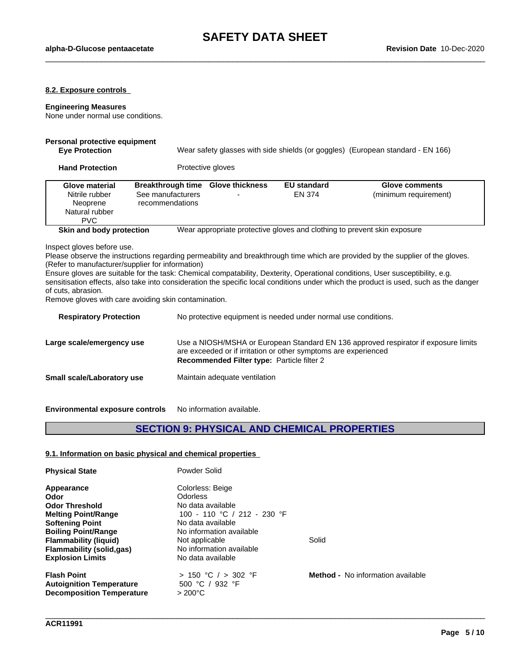$\_$  ,  $\_$  ,  $\_$  ,  $\_$  ,  $\_$  ,  $\_$  ,  $\_$  ,  $\_$  ,  $\_$  ,  $\_$  ,  $\_$  ,  $\_$  ,  $\_$  ,  $\_$  ,  $\_$  ,  $\_$  ,  $\_$  ,  $\_$  ,  $\_$  ,  $\_$  ,  $\_$  ,  $\_$  ,  $\_$  ,  $\_$  ,  $\_$  ,  $\_$  ,  $\_$  ,  $\_$  ,  $\_$  ,  $\_$  ,  $\_$  ,  $\_$  ,  $\_$  ,  $\_$  ,  $\_$  ,  $\_$  ,  $\_$  ,

#### **8.2. Exposure controls**

### **Engineering Measures**

None under normal use conditions.

# **Personal protective equipment**

**Eye Protection** Wear safety glasses with side shields (or goggles) (European standard - EN 166)

**Hand Protection** Protective gloves

| <b>Glove material</b><br>Nitrile rubber<br>Neoprene<br>Natural rubber<br><b>PVC</b> | Breakthrough time Glove thickness<br>See manufacturers<br>recommendations | <b>EU standard</b><br>EN 374 | Glove comments<br>(minimum requirement)                                  |
|-------------------------------------------------------------------------------------|---------------------------------------------------------------------------|------------------------------|--------------------------------------------------------------------------|
| Skin and body protection                                                            |                                                                           |                              | Wear appropriate protective gloves and clothing to prevent skin exposure |

Inspect gloves before use.

Please observe the instructions regarding permeability and breakthrough time which are provided by the supplier of the gloves. (Refer to manufacturer/supplier for information)

Ensure gloves are suitable for the task: Chemical compatability, Dexterity, Operational conditions, User susceptibility, e.g. sensitisation effects, also take into consideration the specific local conditions under which the product is used, such as the danger of cuts, abrasion.

Remove gloves with care avoiding skin contamination.

| <b>Respiratory Protection</b> | No protective equipment is needed under normal use conditions.                                                                                                                                              |
|-------------------------------|-------------------------------------------------------------------------------------------------------------------------------------------------------------------------------------------------------------|
| Large scale/emergency use     | Use a NIOSH/MSHA or European Standard EN 136 approved respirator if exposure limits<br>are exceeded or if irritation or other symptoms are experienced<br><b>Recommended Filter type: Particle filter 2</b> |
| Small scale/Laboratory use    | Maintain adequate ventilation                                                                                                                                                                               |
|                               |                                                                                                                                                                                                             |

**Environmental exposure controls** No information available.

# **SECTION 9: PHYSICAL AND CHEMICAL PROPERTIES**

\_\_\_\_\_\_\_\_\_\_\_\_\_\_\_\_\_\_\_\_\_\_\_\_\_\_\_\_\_\_\_\_\_\_\_\_\_\_\_\_\_\_\_\_\_\_\_\_\_\_\_\_\_\_\_\_\_\_\_\_\_\_\_\_\_\_\_\_\_\_\_\_\_\_\_\_\_\_\_\_\_\_\_\_\_\_\_\_\_\_\_\_\_\_

#### **9.1. Information on basic physical and chemical properties**

| <b>Physical State</b>            | Powder Solid                |                                          |
|----------------------------------|-----------------------------|------------------------------------------|
| Appearance                       | Colorless: Beige            |                                          |
| Odor                             | <b>Odorless</b>             |                                          |
| <b>Odor Threshold</b>            | No data available           |                                          |
| <b>Melting Point/Range</b>       | 100 - 110 °C / 212 - 230 °F |                                          |
| <b>Softening Point</b>           | No data available           |                                          |
| <b>Boiling Point/Range</b>       | No information available    |                                          |
| <b>Flammability (liquid)</b>     | Not applicable              | Solid                                    |
| Flammability (solid, qas)        | No information available    |                                          |
| <b>Explosion Limits</b>          | No data available           |                                          |
| <b>Flash Point</b>               | > 150 °C / > 302 °F         | <b>Method -</b> No information available |
| <b>Autoignition Temperature</b>  | 500 °C / 932 °F             |                                          |
| <b>Decomposition Temperature</b> | $>200^{\circ}$ C            |                                          |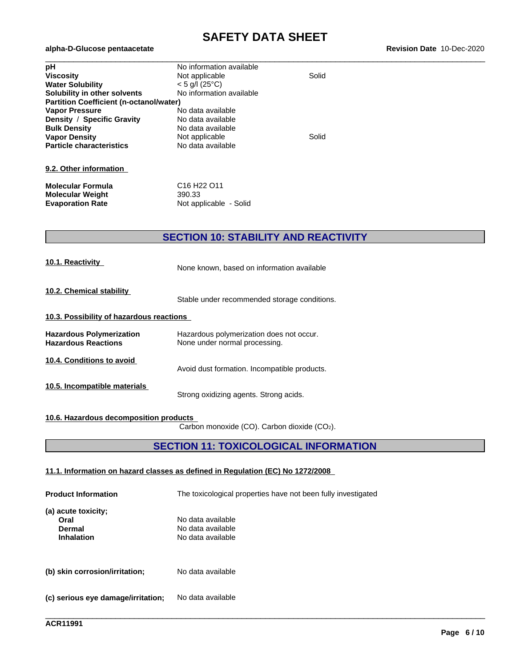# **SAFETY DATA SHEET**<br>Revision Date 10-Dec-2020

| pH                                             | No information available |       |  |
|------------------------------------------------|--------------------------|-------|--|
| <b>Viscosity</b>                               | Not applicable           | Solid |  |
| <b>Water Solubility</b>                        | $<$ 5 g/l (25°C)         |       |  |
| Solubility in other solvents                   | No information available |       |  |
| <b>Partition Coefficient (n-octanol/water)</b> |                          |       |  |
| <b>Vapor Pressure</b>                          | No data available        |       |  |
| Density / Specific Gravity                     | No data available        |       |  |
| <b>Bulk Density</b>                            | No data available        |       |  |
| <b>Vapor Density</b>                           | Not applicable           | Solid |  |
| <b>Particle characteristics</b>                | No data available        |       |  |
|                                                |                          |       |  |
| 9.2. Other information                         |                          |       |  |

| Molecular Formula       | C <sub>16</sub> H <sub>22</sub> O <sub>11</sub> |
|-------------------------|-------------------------------------------------|
| Molecular Weight        | 390.33                                          |
| <b>Evaporation Rate</b> | Not applicable - Solid                          |

 $a$ lpha-D-Glucose pentaacetate

# **SECTION 10: STABILITY AND REACTIVITY**

| 10.1. Reactivity                                              | None known, based on information available                                |  |  |  |  |
|---------------------------------------------------------------|---------------------------------------------------------------------------|--|--|--|--|
| 10.2. Chemical stability                                      | Stable under recommended storage conditions.                              |  |  |  |  |
| 10.3. Possibility of hazardous reactions                      |                                                                           |  |  |  |  |
| <b>Hazardous Polymerization</b><br><b>Hazardous Reactions</b> | Hazardous polymerization does not occur.<br>None under normal processing. |  |  |  |  |
| 10.4. Conditions to avoid                                     | Avoid dust formation. Incompatible products.                              |  |  |  |  |
| 10.5. Incompatible materials                                  | Strong oxidizing agents. Strong acids.                                    |  |  |  |  |
|                                                               |                                                                           |  |  |  |  |

# **10.6. Hazardous decomposition products**

Carbon monoxide (CO). Carbon dioxide (CO2).

# **SECTION 11: TOXICOLOGICAL INFORMATION**

\_\_\_\_\_\_\_\_\_\_\_\_\_\_\_\_\_\_\_\_\_\_\_\_\_\_\_\_\_\_\_\_\_\_\_\_\_\_\_\_\_\_\_\_\_\_\_\_\_\_\_\_\_\_\_\_\_\_\_\_\_\_\_\_\_\_\_\_\_\_\_\_\_\_\_\_\_\_\_\_\_\_\_\_\_\_\_\_\_\_\_\_\_\_

#### **11.1. Information on hazard classes as defined in Regulation (EC) No 1272/2008**

| <b>Product Information</b>                                 | The toxicological properties have not been fully investigated |
|------------------------------------------------------------|---------------------------------------------------------------|
| (a) acute toxicity;<br>Oral<br>Dermal<br><b>Inhalation</b> | No data available<br>No data available<br>No data available   |
| (b) skin corrosion/irritation;                             | No data available                                             |
| (c) serious eye damage/irritation;                         | No data available                                             |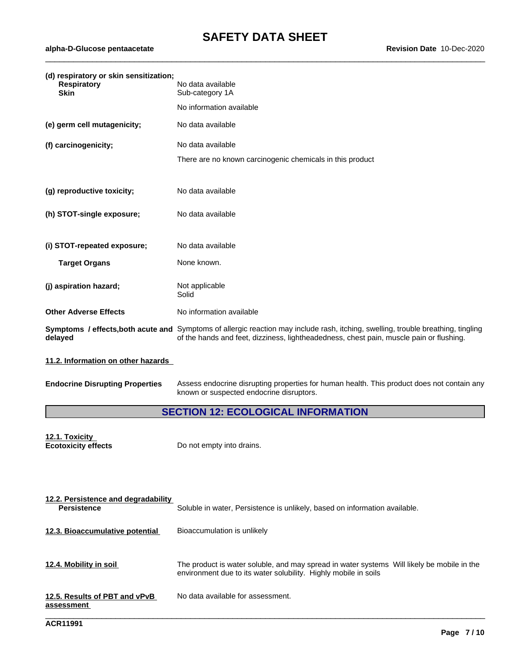$\_$  ,  $\_$  ,  $\_$  ,  $\_$  ,  $\_$  ,  $\_$  ,  $\_$  ,  $\_$  ,  $\_$  ,  $\_$  ,  $\_$  ,  $\_$  ,  $\_$  ,  $\_$  ,  $\_$  ,  $\_$  ,  $\_$  ,  $\_$  ,  $\_$  ,  $\_$  ,  $\_$  ,  $\_$  ,  $\_$  ,  $\_$  ,  $\_$  ,  $\_$  ,  $\_$  ,  $\_$  ,  $\_$  ,  $\_$  ,  $\_$  ,  $\_$  ,  $\_$  ,  $\_$  ,  $\_$  ,  $\_$  ,  $\_$  ,

| (d) respiratory or skin sensitization;<br><b>Respiratory</b><br><b>Skin</b> | No data available<br>Sub-category 1A                                                                                                                                                                                         |
|-----------------------------------------------------------------------------|------------------------------------------------------------------------------------------------------------------------------------------------------------------------------------------------------------------------------|
|                                                                             | No information available                                                                                                                                                                                                     |
| (e) germ cell mutagenicity;                                                 | No data available                                                                                                                                                                                                            |
| (f) carcinogenicity;                                                        | No data available                                                                                                                                                                                                            |
|                                                                             | There are no known carcinogenic chemicals in this product                                                                                                                                                                    |
|                                                                             |                                                                                                                                                                                                                              |
| (g) reproductive toxicity;                                                  | No data available                                                                                                                                                                                                            |
| (h) STOT-single exposure;                                                   | No data available                                                                                                                                                                                                            |
|                                                                             |                                                                                                                                                                                                                              |
| (i) STOT-repeated exposure;                                                 | No data available                                                                                                                                                                                                            |
| <b>Target Organs</b>                                                        | None known.                                                                                                                                                                                                                  |
|                                                                             |                                                                                                                                                                                                                              |
| (j) aspiration hazard;                                                      | Not applicable<br>Solid                                                                                                                                                                                                      |
| <b>Other Adverse Effects</b>                                                | No information available                                                                                                                                                                                                     |
| delayed                                                                     | Symptoms / effects, both acute and Symptoms of allergic reaction may include rash, itching, swelling, trouble breathing, tingling<br>of the hands and feet, dizziness, lightheadedness, chest pain, muscle pain or flushing. |
| 11.2. Information on other hazards                                          |                                                                                                                                                                                                                              |

| <b>Endocrine Disrupting Properties</b> | Assess e |
|----------------------------------------|----------|
|                                        |          |

**Endocrine Disrupting Properties** Assess endocrine disrupting properties for human health. This product does not contain any known or suspected endocrine disruptors.

# **SECTION 12: ECOLOGICAL INFORMATION**

| 12.1. Toxicity             |           |
|----------------------------|-----------|
| <b>Ecotoxicity effects</b> | Do not em |

**Apty into drains.** 

| 12.2. Persistence and degradability<br><b>Persistence</b> | Soluble in water, Persistence is unlikely, based on information available.                                                                                    |
|-----------------------------------------------------------|---------------------------------------------------------------------------------------------------------------------------------------------------------------|
| 12.3. Bioaccumulative potential                           | Bioaccumulation is unlikely                                                                                                                                   |
| 12.4. Mobility in soil                                    | The product is water soluble, and may spread in water systems Will likely be mobile in the<br>environment due to its water solubility. Highly mobile in soils |
| 12.5. Results of PBT and vPvB<br>assessment               | No data available for assessment.                                                                                                                             |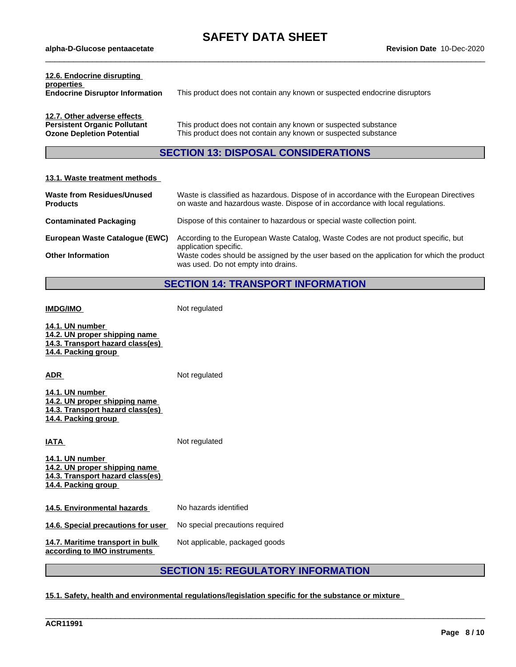$\_$  ,  $\_$  ,  $\_$  ,  $\_$  ,  $\_$  ,  $\_$  ,  $\_$  ,  $\_$  ,  $\_$  ,  $\_$  ,  $\_$  ,  $\_$  ,  $\_$  ,  $\_$  ,  $\_$  ,  $\_$  ,  $\_$  ,  $\_$  ,  $\_$  ,  $\_$  ,  $\_$  ,  $\_$  ,  $\_$  ,  $\_$  ,  $\_$  ,  $\_$  ,  $\_$  ,  $\_$  ,  $\_$  ,  $\_$  ,  $\_$  ,  $\_$  ,  $\_$  ,  $\_$  ,  $\_$  ,  $\_$  ,  $\_$  ,

| 12.6. Endocrine disrupting<br>properties<br><b>Endocrine Disruptor Information</b>                     | This product does not contain any known or suspected endocrine disruptors                                                        |
|--------------------------------------------------------------------------------------------------------|----------------------------------------------------------------------------------------------------------------------------------|
| 12.7. Other adverse effects<br><b>Persistent Organic Pollutant</b><br><b>Ozone Depletion Potential</b> | This product does not contain any known or suspected substance<br>This product does not contain any known or suspected substance |

# **SECTION 13: DISPOSAL CONSIDERATIONS**

# **13.1. Waste treatment methods**

| Waste from Residues/Unused<br><b>Products</b> | Waste is classified as hazardous. Dispose of in accordance with the European Directives<br>on waste and hazardous waste. Dispose of in accordance with local regulations. |
|-----------------------------------------------|---------------------------------------------------------------------------------------------------------------------------------------------------------------------------|
| <b>Contaminated Packaging</b>                 | Dispose of this container to hazardous or special waste collection point.                                                                                                 |
| European Waste Catalogue (EWC)                | According to the European Waste Catalog, Waste Codes are not product specific, but<br>application specific.                                                               |
| <b>Other Information</b>                      | Waste codes should be assigned by the user based on the application for which the product<br>was used. Do not empty into drains.                                          |

# **SECTION 14: TRANSPORT INFORMATION**

| <b>IMDG/IMO</b>                                                                                             | Not regulated                             |
|-------------------------------------------------------------------------------------------------------------|-------------------------------------------|
| 14.1. UN number<br>14.2. UN proper shipping name<br>14.3. Transport hazard class(es)<br>14.4. Packing group |                                           |
| ADR                                                                                                         | Not regulated                             |
| 14.1. UN number<br>14.2. UN proper shipping name<br>14.3. Transport hazard class(es)<br>14.4. Packing group |                                           |
| IATA                                                                                                        | Not regulated                             |
| 14.1. UN number<br>14.2. UN proper shipping name<br>14.3. Transport hazard class(es)<br>14.4. Packing group |                                           |
| 14.5. Environmental hazards                                                                                 | No hazards identified                     |
| 14.6. Special precautions for user                                                                          | No special precautions required           |
| 14.7. Maritime transport in bulk<br>according to IMO instruments                                            | Not applicable, packaged goods            |
|                                                                                                             | <b>SECTION 15: REGULATORY INFORMATION</b> |

**15.1. Safety, health and environmental regulations/legislation specific for the substance or mixture**

\_\_\_\_\_\_\_\_\_\_\_\_\_\_\_\_\_\_\_\_\_\_\_\_\_\_\_\_\_\_\_\_\_\_\_\_\_\_\_\_\_\_\_\_\_\_\_\_\_\_\_\_\_\_\_\_\_\_\_\_\_\_\_\_\_\_\_\_\_\_\_\_\_\_\_\_\_\_\_\_\_\_\_\_\_\_\_\_\_\_\_\_\_\_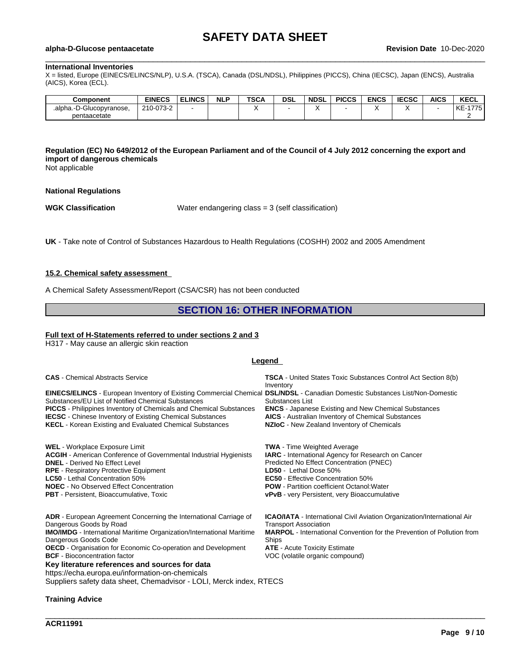$\_$  ,  $\_$  ,  $\_$  ,  $\_$  ,  $\_$  ,  $\_$  ,  $\_$  ,  $\_$  ,  $\_$  ,  $\_$  ,  $\_$  ,  $\_$  ,  $\_$  ,  $\_$  ,  $\_$  ,  $\_$  ,  $\_$  ,  $\_$  ,  $\_$  ,  $\_$  ,  $\_$  ,  $\_$  ,  $\_$  ,  $\_$  ,  $\_$  ,  $\_$  ,  $\_$  ,  $\_$  ,  $\_$  ,  $\_$  ,  $\_$  ,  $\_$  ,  $\_$  ,  $\_$  ,  $\_$  ,  $\_$  ,  $\_$  ,

#### **alpha-D-Glucose pentaacetate Revision Date** 10-Dec-2020

#### **International Inventories**

X = listed, Europe (EINECS/ELINCS/NLP), U.S.A. (TSCA), Canada (DSL/NDSL), Philippines (PICCS), China (IECSC), Japan (ENCS), Australia (AICS), Korea (ECL).

| Component                    | <b>EINECS</b> | <b>ELINCS</b> | <b>NLP</b> | TSC/ | DSL | <b>NDSL</b> | <b>PICCS</b> | <b>ENCS</b> | <b>IECSC</b> | <b>AICS</b> | <b>KECL</b>       |
|------------------------------|---------------|---------------|------------|------|-----|-------------|--------------|-------------|--------------|-------------|-------------------|
| D-Glucopvranose.<br>alpha.-D | 210-073-2     |               |            |      |     |             |              |             |              |             | 1775<br>KE<br>770 |
| pentaacetate                 |               |               |            |      |     |             |              |             |              |             |                   |

### Requlation (EC) No 649/2012 of the European Parliament and of the Council of 4 July 2012 concerning the export and **import of dangerous chemicals**

Not applicable

#### **National Regulations**

**WGK Classification** Water endangering class = 3 (self classification)

**UK** - Take note of Control of Substances Hazardous to Health Regulations (COSHH) 2002 and 2005 Amendment

#### **15.2. Chemical safety assessment**

A Chemical Safety Assessment/Report (CSA/CSR) has not been conducted

### **SECTION 16: OTHER INFORMATION**

#### **Full text of H-Statements referred to undersections 2 and 3**

H317 - May cause an allergic skin reaction

#### **Legend**

**CAS** - Chemical Abstracts Service **TSCA** - United States Toxic Substances Control Act Section 8(b)

Inventory **EINECS/ELINCS** - European Inventory of Existing Commercial Chemical **DSL/NDSL** - Canadian Domestic Substances List/Non-Domestic Substances/EU List of Notified Chemical Substances Substances List **PICCS** - Philippines Inventory of Chemicals and Chemical Substances **ENCS** - Japanese Existing and New Chemical Substances **IECSC** - Chinese Inventory of Existing Chemical Substances **KECL** - Korean Existing and Evaluated Chemical Substances **NZIoC** - New Zealand Inventory of Chemicals

**WEL** - Workplace Exposure Limit **TWA** - Time Weighted Average **ACGIH** - American Conference of Governmental Industrial Hygienists **IARC** - International Agency for Research on Cancer **RPE** - Respiratory Protective Equipment **LD50 LET LD50** - Lethal Dose 50%<br> **LC50** - Lethal Concentration 50% **LC50 EG50** - Effective Concent **NOEC** - No Observed Effect Concentration **POW - Partition coefficient Octanol: Water**<br> **PBT** - Persistent, Bioaccumulative, Toxic **PBT** - **PVB** - very Persistent, very Bioaccumula

**Key literature references and sources for data** https://echa.europa.eu/information-on-chemicals **ADR** - European Agreement Concerning the International Carriage of Dangerous Goods by Road **IMO/IMDG** - International Maritime Organization/International Maritime Dangerous Goods Code **OECD** - Organisation for Economic Co-operation and Development **ATE** - Acute Toxicity Estimate

Suppliers safety data sheet, Chemadvisor - LOLI, Merck index, RTECS

**Predicted No Effect Concentration (PNEC) EC50** - Effective Concentration 50% vPvB - very Persistent, very Bioaccumulative **ICAO/IATA** - International Civil Aviation Organization/International Air Transport Association **MARPOL** - International Convention for the Prevention of Pollution from Ships

VOC (volatile organic compound)

\_\_\_\_\_\_\_\_\_\_\_\_\_\_\_\_\_\_\_\_\_\_\_\_\_\_\_\_\_\_\_\_\_\_\_\_\_\_\_\_\_\_\_\_\_\_\_\_\_\_\_\_\_\_\_\_\_\_\_\_\_\_\_\_\_\_\_\_\_\_\_\_\_\_\_\_\_\_\_\_\_\_\_\_\_\_\_\_\_\_\_\_\_\_

#### **Training Advice**